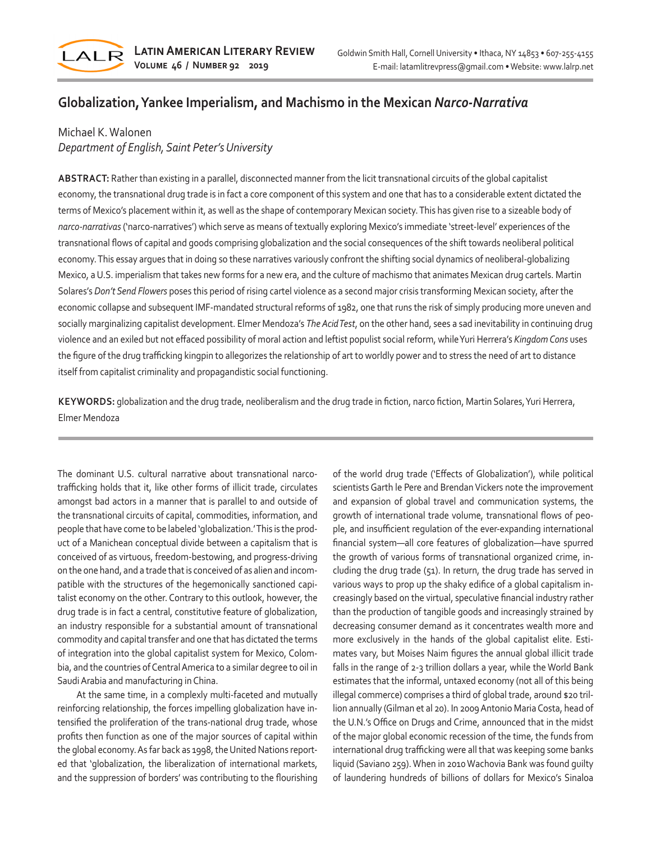

# **Globalization, Yankee Imperialism, and Machismo in the Mexican** *Narco-Narrativa*

### Michael K. Walonen

## *Department of English, Saint Peter's University*

**ABSTRACT:** Rather than existing in a parallel, disconnected manner from the licit transnational circuits of the global capitalist economy, the transnational drug trade is in fact a core component of this system and one that has to a considerable extent dictated the terms of Mexico's placement within it, as well as the shape of contemporary Mexican society. This has given rise to a sizeable body of *narco-narrativas* ('narco-narratives') which serve as means of textually exploring Mexico's immediate 'street-level' experiences of the transnational flows of capital and goods comprising globalization and the social consequences of the shift towards neoliberal political economy. This essay argues that in doing so these narratives variously confront the shifting social dynamics of neoliberal-globalizing Mexico, a U.S. imperialism that takes new forms for a new era, and the culture of machismo that animates Mexican drug cartels. Martin Solares's *Don't Send Flowers* poses this period of rising cartel violence as a second major crisis transforming Mexican society, after the economic collapse and subsequent IMF-mandated structural reforms of 1982, one that runs the risk of simply producing more uneven and socially marginalizing capitalist development. Elmer Mendoza's *The Acid Test*, on the other hand, sees a sad inevitability in continuing drug violence and an exiled but not effaced possibility of moral action and leftist populist social reform, while Yuri Herrera's *Kingdom Cons* uses the figure of the drug trafficking kingpin to allegorizes the relationship of art to worldly power and to stress the need of art to distance itself from capitalist criminality and propagandistic social functioning.

**KEYWORDS:** globalization and the drug trade, neoliberalism and the drug trade in fiction, narco fiction, Martin Solares, Yuri Herrera, Elmer Mendoza

The dominant U.S. cultural narrative about transnational narcotrafficking holds that it, like other forms of illicit trade, circulates amongst bad actors in a manner that is parallel to and outside of the transnational circuits of capital, commodities, information, and people that have come to be labeled 'globalization.' This is the product of a Manichean conceptual divide between a capitalism that is conceived of as virtuous, freedom-bestowing, and progress-driving on the one hand, and a trade that is conceived of as alien and incompatible with the structures of the hegemonically sanctioned capitalist economy on the other. Contrary to this outlook, however, the drug trade is in fact a central, constitutive feature of globalization, an industry responsible for a substantial amount of transnational commodity and capital transfer and one that has dictated the terms of integration into the global capitalist system for Mexico, Colombia, and the countries of Central America to a similar degree to oil in Saudi Arabia and manufacturing in China.

At the same time, in a complexly multi-faceted and mutually reinforcing relationship, the forces impelling globalization have intensified the proliferation of the trans-national drug trade, whose profits then function as one of the major sources of capital within the global economy. As far back as 1998, the United Nations reported that 'globalization, the liberalization of international markets, and the suppression of borders' was contributing to the flourishing of the world drug trade ('Effects of Globalization'), while political scientists Garth le Pere and Brendan Vickers note the improvement and expansion of global travel and communication systems, the growth of international trade volume, transnational flows of people, and insufficient regulation of the ever-expanding international financial system—all core features of globalization—have spurred the growth of various forms of transnational organized crime, including the drug trade (51). In return, the drug trade has served in various ways to prop up the shaky edifice of a global capitalism increasingly based on the virtual, speculative financial industry rather than the production of tangible goods and increasingly strained by decreasing consumer demand as it concentrates wealth more and more exclusively in the hands of the global capitalist elite. Estimates vary, but Moises Naim figures the annual global illicit trade falls in the range of 2-3 trillion dollars a year, while the World Bank estimates that the informal, untaxed economy (not all of this being illegal commerce) comprises a third of global trade, around \$20 trillion annually (Gilman et al 20). In 2009 Antonio Maria Costa, head of the U.N.'s Office on Drugs and Crime, announced that in the midst of the major global economic recession of the time, the funds from international drug trafficking were all that was keeping some banks liquid (Saviano 259). When in 2010 Wachovia Bank was found guilty of laundering hundreds of billions of dollars for Mexico's Sinaloa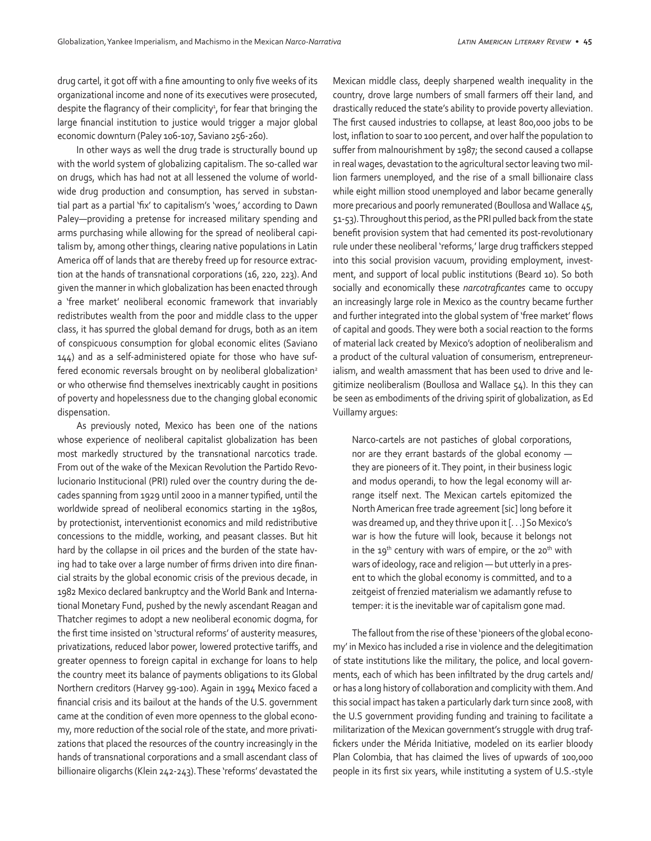drug cartel, it got off with a fine amounting to only five weeks of its organizational income and none of its executives were prosecuted, despite the flagrancy of their complicity<sup>1</sup>, for fear that bringing the large financial institution to justice would trigger a major global economic downturn (Paley 106-107, Saviano 256-260).

In other ways as well the drug trade is structurally bound up with the world system of globalizing capitalism. The so-called war on drugs, which has had not at all lessened the volume of worldwide drug production and consumption, has served in substantial part as a partial 'fix' to capitalism's 'woes,' according to Dawn Paley—providing a pretense for increased military spending and arms purchasing while allowing for the spread of neoliberal capitalism by, among other things, clearing native populations in Latin America off of lands that are thereby freed up for resource extraction at the hands of transnational corporations (16, 220, 223). And given the manner in which globalization has been enacted through a 'free market' neoliberal economic framework that invariably redistributes wealth from the poor and middle class to the upper class, it has spurred the global demand for drugs, both as an item of conspicuous consumption for global economic elites (Saviano 144) and as a self-administered opiate for those who have suffered economic reversals brought on by neoliberal globalization<sup>2</sup> or who otherwise find themselves inextricably caught in positions of poverty and hopelessness due to the changing global economic dispensation.

As previously noted, Mexico has been one of the nations whose experience of neoliberal capitalist globalization has been most markedly structured by the transnational narcotics trade. From out of the wake of the Mexican Revolution the Partido Revolucionario Institucional (PRI) ruled over the country during the decades spanning from 1929 until 2000 in a manner typified, until the worldwide spread of neoliberal economics starting in the 1980s, by protectionist, interventionist economics and mild redistributive concessions to the middle, working, and peasant classes. But hit hard by the collapse in oil prices and the burden of the state having had to take over a large number of firms driven into dire financial straits by the global economic crisis of the previous decade, in 1982 Mexico declared bankruptcy and the World Bank and International Monetary Fund, pushed by the newly ascendant Reagan and Thatcher regimes to adopt a new neoliberal economic dogma, for the first time insisted on 'structural reforms' of austerity measures, privatizations, reduced labor power, lowered protective tariffs, and greater openness to foreign capital in exchange for loans to help the country meet its balance of payments obligations to its Global Northern creditors (Harvey 99-100). Again in 1994 Mexico faced a financial crisis and its bailout at the hands of the U.S. government came at the condition of even more openness to the global economy, more reduction of the social role of the state, and more privatizations that placed the resources of the country increasingly in the hands of transnational corporations and a small ascendant class of billionaire oligarchs (Klein 242-243). These 'reforms' devastated the Mexican middle class, deeply sharpened wealth inequality in the country, drove large numbers of small farmers off their land, and drastically reduced the state's ability to provide poverty alleviation. The first caused industries to collapse, at least 800,000 jobs to be lost, inflation to soar to 100 percent, and over half the population to suffer from malnourishment by 1987; the second caused a collapse in real wages, devastation to the agricultural sector leaving two million farmers unemployed, and the rise of a small billionaire class while eight million stood unemployed and labor became generally more precarious and poorly remunerated (Boullosa and Wallace 45, 51-53). Throughout this period, as the PRI pulled back from the state benefit provision system that had cemented its post-revolutionary rule under these neoliberal 'reforms,' large drug traffickers stepped into this social provision vacuum, providing employment, investment, and support of local public institutions (Beard 10). So both socially and economically these *narcotraficantes* came to occupy an increasingly large role in Mexico as the country became further and further integrated into the global system of 'free market' flows of capital and goods. They were both a social reaction to the forms of material lack created by Mexico's adoption of neoliberalism and a product of the cultural valuation of consumerism, entrepreneurialism, and wealth amassment that has been used to drive and legitimize neoliberalism (Boullosa and Wallace 54). In this they can be seen as embodiments of the driving spirit of globalization, as Ed Vuillamy argues:

Narco-cartels are not pastiches of global corporations, nor are they errant bastards of the global economy they are pioneers of it. They point, in their business logic and modus operandi, to how the legal economy will arrange itself next. The Mexican cartels epitomized the North American free trade agreement [sic] long before it was dreamed up, and they thrive upon it [. . .] So Mexico's war is how the future will look, because it belongs not in the 19<sup>th</sup> century with wars of empire, or the 20<sup>th</sup> with wars of ideology, race and religion — but utterly in a present to which the global economy is committed, and to a zeitgeist of frenzied materialism we adamantly refuse to temper: it is the inevitable war of capitalism gone mad.

The fallout from the rise of these 'pioneers of the global economy' in Mexico has included a rise in violence and the delegitimation of state institutions like the military, the police, and local governments, each of which has been infiltrated by the drug cartels and/ or has a long history of collaboration and complicity with them. And this social impact has taken a particularly dark turn since 2008, with the U.S government providing funding and training to facilitate a militarization of the Mexican government's struggle with drug traffickers under the Mérida Initiative, modeled on its earlier bloody Plan Colombia, that has claimed the lives of upwards of 100,000 people in its first six years, while instituting a system of U.S.-style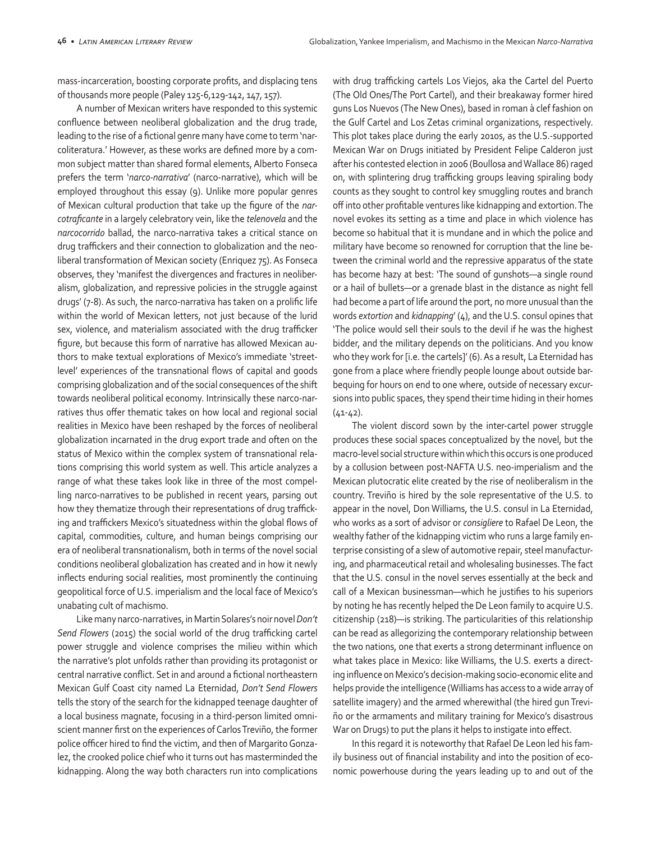mass-incarceration, boosting corporate profits, and displacing tens of thousands more people (Paley 125-6,129-142, 147, 157).

A number of Mexican writers have responded to this systemic confluence between neoliberal globalization and the drug trade, leading to the rise of a fictional genre many have come to term 'narcoliteratura.' However, as these works are defined more by a common subject matter than shared formal elements, Alberto Fonseca prefers the term '*narco-narrativa*' (narco-narrative), which will be employed throughout this essay (9). Unlike more popular genres of Mexican cultural production that take up the figure of the *narcotraficante* in a largely celebratory vein, like the *telenovela* and the *narcocorrido* ballad, the narco-narrativa takes a critical stance on drug traffickers and their connection to globalization and the neoliberal transformation of Mexican society (Enriquez 75). As Fonseca observes, they 'manifest the divergences and fractures in neoliberalism, globalization, and repressive policies in the struggle against drugs' (7-8). As such, the narco-narrativa has taken on a prolific life within the world of Mexican letters, not just because of the lurid sex, violence, and materialism associated with the drug trafficker figure, but because this form of narrative has allowed Mexican authors to make textual explorations of Mexico's immediate 'streetlevel' experiences of the transnational flows of capital and goods comprising globalization and of the social consequences of the shift towards neoliberal political economy. Intrinsically these narco-narratives thus offer thematic takes on how local and regional social realities in Mexico have been reshaped by the forces of neoliberal globalization incarnated in the drug export trade and often on the status of Mexico within the complex system of transnational relations comprising this world system as well. This article analyzes a range of what these takes look like in three of the most compelling narco-narratives to be published in recent years, parsing out how they thematize through their representations of drug trafficking and traffickers Mexico's situatedness within the global flows of capital, commodities, culture, and human beings comprising our era of neoliberal transnationalism, both in terms of the novel social conditions neoliberal globalization has created and in how it newly inflects enduring social realities, most prominently the continuing geopolitical force of U.S. imperialism and the local face of Mexico's unabating cult of machismo.

Like many narco-narratives, in Martin Solares's noir novel *Don't Send Flowers* (2015) the social world of the drug trafficking cartel power struggle and violence comprises the milieu within which the narrative's plot unfolds rather than providing its protagonist or central narrative conflict. Set in and around a fictional northeastern Mexican Gulf Coast city named La Eternidad, *Don't Send Flowers* tells the story of the search for the kidnapped teenage daughter of a local business magnate, focusing in a third-person limited omniscient manner first on the experiences of Carlos Treviño, the former police officer hired to find the victim, and then of Margarito Gonzalez, the crooked police chief who it turns out has masterminded the kidnapping. Along the way both characters run into complications

with drug trafficking cartels Los Viejos, aka the Cartel del Puerto (The Old Ones/The Port Cartel), and their breakaway former hired guns Los Nuevos (The New Ones), based in roman à clef fashion on the Gulf Cartel and Los Zetas criminal organizations, respectively. This plot takes place during the early 2010s, as the U.S.-supported Mexican War on Drugs initiated by President Felipe Calderon just after his contested election in 2006 (Boullosa and Wallace 86) raged on, with splintering drug trafficking groups leaving spiraling body counts as they sought to control key smuggling routes and branch off into other profitable ventures like kidnapping and extortion. The novel evokes its setting as a time and place in which violence has become so habitual that it is mundane and in which the police and military have become so renowned for corruption that the line between the criminal world and the repressive apparatus of the state has become hazy at best: 'The sound of gunshots—a single round or a hail of bullets—or a grenade blast in the distance as night fell had become a part of life around the port, no more unusual than the words *extortion* and *kidnapping*' (4), and the U.S. consul opines that 'The police would sell their souls to the devil if he was the highest bidder, and the military depends on the politicians. And you know who they work for [i.e. the cartels]' (6). As a result, La Eternidad has gone from a place where friendly people lounge about outside barbequing for hours on end to one where, outside of necessary excursions into public spaces, they spend their time hiding in their homes  $(41-42)$ .

The violent discord sown by the inter-cartel power struggle produces these social spaces conceptualized by the novel, but the macro-level social structure within which this occurs is one produced by a collusion between post-NAFTA U.S. neo-imperialism and the Mexican plutocratic elite created by the rise of neoliberalism in the country. Treviño is hired by the sole representative of the U.S. to appear in the novel, Don Williams, the U.S. consul in La Eternidad, who works as a sort of advisor or *consigliere* to Rafael De Leon, the wealthy father of the kidnapping victim who runs a large family enterprise consisting of a slew of automotive repair, steel manufacturing, and pharmaceutical retail and wholesaling businesses. The fact that the U.S. consul in the novel serves essentially at the beck and call of a Mexican businessman—which he justifies to his superiors by noting he has recently helped the De Leon family to acquire U.S. citizenship (218)—is striking. The particularities of this relationship can be read as allegorizing the contemporary relationship between the two nations, one that exerts a strong determinant influence on what takes place in Mexico: like Williams, the U.S. exerts a directing influence on Mexico's decision-making socio-economic elite and helps provide the intelligence (Williams has access to a wide array of satellite imagery) and the armed wherewithal (the hired gun Treviño or the armaments and military training for Mexico's disastrous War on Drugs) to put the plans it helps to instigate into effect.

In this regard it is noteworthy that Rafael De Leon led his family business out of financial instability and into the position of economic powerhouse during the years leading up to and out of the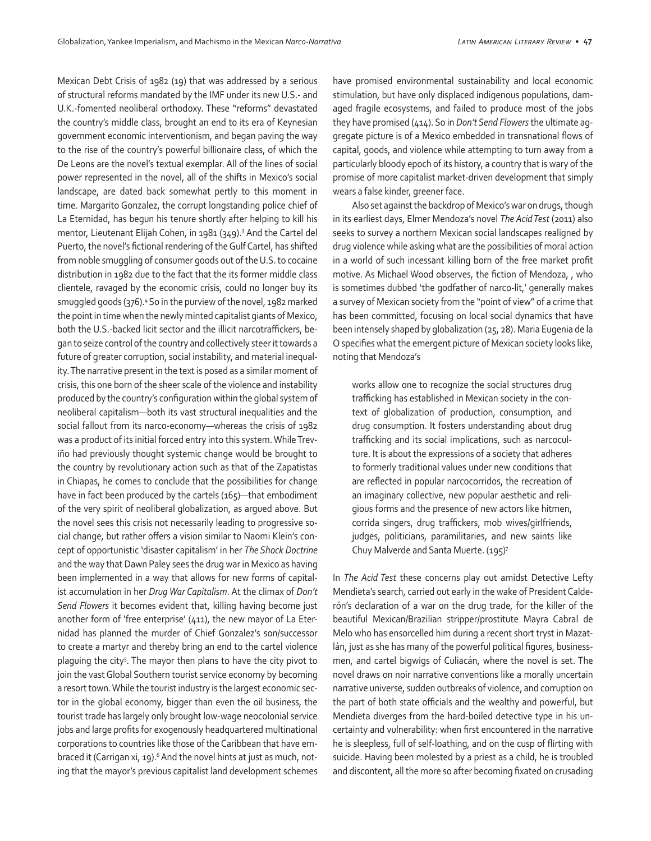Mexican Debt Crisis of 1982 (19) that was addressed by a serious of structural reforms mandated by the IMF under its new U.S.- and U.K.-fomented neoliberal orthodoxy. These "reforms" devastated the country's middle class, brought an end to its era of Keynesian government economic interventionism, and began paving the way to the rise of the country's powerful billionaire class, of which the De Leons are the novel's textual exemplar. All of the lines of social power represented in the novel, all of the shifts in Mexico's social landscape, are dated back somewhat pertly to this moment in time. Margarito Gonzalez, the corrupt longstanding police chief of La Eternidad, has begun his tenure shortly after helping to kill his mentor, Lieutenant Elijah Cohen, in 1981 (349).3 And the Cartel del Puerto, the novel's fictional rendering of the Gulf Cartel, has shifted from noble smuggling of consumer goods out of the U.S. to cocaine distribution in 1982 due to the fact that the its former middle class clientele, ravaged by the economic crisis, could no longer buy its smuggled goods (376).4 So in the purview of the novel, 1982 marked the point in time when the newly minted capitalist giants of Mexico, both the U.S.-backed licit sector and the illicit narcotraffickers, began to seize control of the country and collectively steer it towards a future of greater corruption, social instability, and material inequality. The narrative present in the text is posed as a similar moment of crisis, this one born of the sheer scale of the violence and instability produced by the country's configuration within the global system of neoliberal capitalism—both its vast structural inequalities and the social fallout from its narco-economy—whereas the crisis of 1982 was a product of its initial forced entry into this system. While Treviño had previously thought systemic change would be brought to the country by revolutionary action such as that of the Zapatistas in Chiapas, he comes to conclude that the possibilities for change have in fact been produced by the cartels (165)—that embodiment of the very spirit of neoliberal globalization, as argued above. But the novel sees this crisis not necessarily leading to progressive social change, but rather offers a vision similar to Naomi Klein's concept of opportunistic 'disaster capitalism' in her *The Shock Doctrine*  and the way that Dawn Paley sees the drug war in Mexico as having been implemented in a way that allows for new forms of capitalist accumulation in her *Drug War Capitalism*. At the climax of *Don't Send Flowers* it becomes evident that, killing having become just another form of 'free enterprise' (411), the new mayor of La Eternidad has planned the murder of Chief Gonzalez's son/successor to create a martyr and thereby bring an end to the cartel violence plaguing the city<sup>5</sup>. The mayor then plans to have the city pivot to join the vast Global Southern tourist service economy by becoming a resort town. While the tourist industry is the largest economic sector in the global economy, bigger than even the oil business, the tourist trade has largely only brought low-wage neocolonial service jobs and large profits for exogenously headquartered multinational corporations to countries like those of the Caribbean that have embraced it (Carrigan xi, 19).<sup>6</sup> And the novel hints at just as much, noting that the mayor's previous capitalist land development schemes have promised environmental sustainability and local economic stimulation, but have only displaced indigenous populations, damaged fragile ecosystems, and failed to produce most of the jobs they have promised (414). So in *Don't Send Flowers* the ultimate aggregate picture is of a Mexico embedded in transnational flows of capital, goods, and violence while attempting to turn away from a particularly bloody epoch of its history, a country that is wary of the promise of more capitalist market-driven development that simply wears a false kinder, greener face.

Also set against the backdrop of Mexico's war on drugs, though in its earliest days, Elmer Mendoza's novel *The Acid Test* (2011) also seeks to survey a northern Mexican social landscapes realigned by drug violence while asking what are the possibilities of moral action in a world of such incessant killing born of the free market profit motive. As Michael Wood observes, the fiction of Mendoza, , who is sometimes dubbed 'the godfather of narco-lit,' generally makes a survey of Mexican society from the "point of view" of a crime that has been committed, focusing on local social dynamics that have been intensely shaped by globalization (25, 28). Maria Eugenia de la O specifies what the emergent picture of Mexican society looks like, noting that Mendoza's

works allow one to recognize the social structures drug trafficking has established in Mexican society in the context of globalization of production, consumption, and drug consumption. It fosters understanding about drug trafficking and its social implications, such as narcoculture. It is about the expressions of a society that adheres to formerly traditional values under new conditions that are reflected in popular narcocorridos, the recreation of an imaginary collective, new popular aesthetic and religious forms and the presence of new actors like hitmen, corrida singers, drug traffickers, mob wives/girlfriends, judges, politicians, paramilitaries, and new saints like Chuy Malverde and Santa Muerte. (195)7

In *The Acid Test* these concerns play out amidst Detective Lefty Mendieta's search, carried out early in the wake of President Calderón's declaration of a war on the drug trade, for the killer of the beautiful Mexican/Brazilian stripper/prostitute Mayra Cabral de Melo who has ensorcelled him during a recent short tryst in Mazatlán, just as she has many of the powerful political figures, businessmen, and cartel bigwigs of Culiacán, where the novel is set. The novel draws on noir narrative conventions like a morally uncertain narrative universe, sudden outbreaks of violence, and corruption on the part of both state officials and the wealthy and powerful, but Mendieta diverges from the hard-boiled detective type in his uncertainty and vulnerability: when first encountered in the narrative he is sleepless, full of self-loathing, and on the cusp of flirting with suicide. Having been molested by a priest as a child, he is troubled and discontent, all the more so after becoming fixated on crusading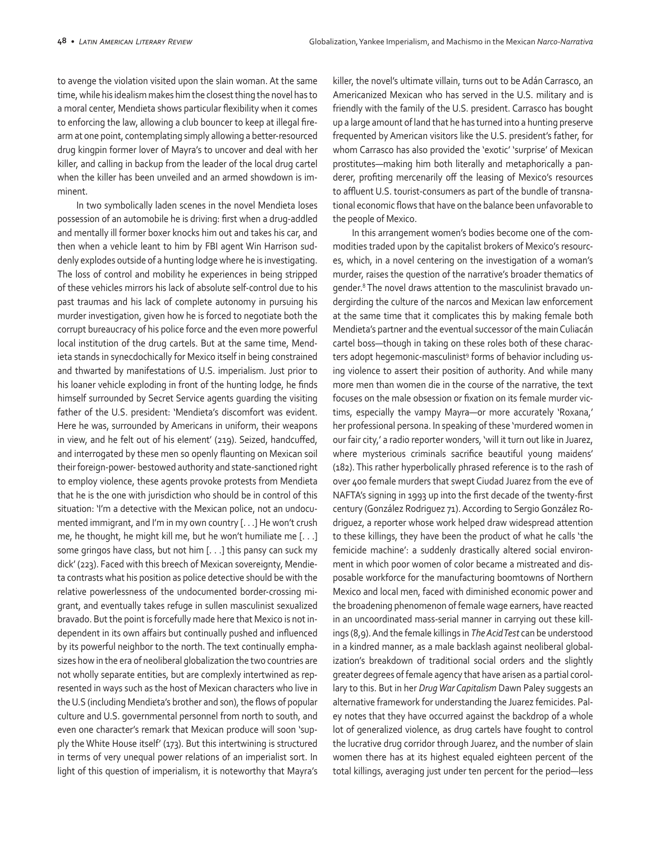to avenge the violation visited upon the slain woman. At the same time, while his idealism makes him the closest thing the novel has to a moral center, Mendieta shows particular flexibility when it comes to enforcing the law, allowing a club bouncer to keep at illegal firearm at one point, contemplating simply allowing a better-resourced drug kingpin former lover of Mayra's to uncover and deal with her killer, and calling in backup from the leader of the local drug cartel when the killer has been unveiled and an armed showdown is imminent.

In two symbolically laden scenes in the novel Mendieta loses possession of an automobile he is driving: first when a drug-addled and mentally ill former boxer knocks him out and takes his car, and then when a vehicle leant to him by FBI agent Win Harrison suddenly explodes outside of a hunting lodge where he is investigating. The loss of control and mobility he experiences in being stripped of these vehicles mirrors his lack of absolute self-control due to his past traumas and his lack of complete autonomy in pursuing his murder investigation, given how he is forced to negotiate both the corrupt bureaucracy of his police force and the even more powerful local institution of the drug cartels. But at the same time, Mendieta stands in synecdochically for Mexico itself in being constrained and thwarted by manifestations of U.S. imperialism. Just prior to his loaner vehicle exploding in front of the hunting lodge, he finds himself surrounded by Secret Service agents guarding the visiting father of the U.S. president: 'Mendieta's discomfort was evident. Here he was, surrounded by Americans in uniform, their weapons in view, and he felt out of his element' (219). Seized, handcuffed, and interrogated by these men so openly flaunting on Mexican soil their foreign-power- bestowed authority and state-sanctioned right to employ violence, these agents provoke protests from Mendieta that he is the one with jurisdiction who should be in control of this situation: 'I'm a detective with the Mexican police, not an undocumented immigrant, and I'm in my own country [. . .] He won't crush me, he thought, he might kill me, but he won't humiliate me [. . .] some gringos have class, but not him [. . .] this pansy can suck my dick' (223). Faced with this breech of Mexican sovereignty, Mendieta contrasts what his position as police detective should be with the relative powerlessness of the undocumented border-crossing migrant, and eventually takes refuge in sullen masculinist sexualized bravado. But the point is forcefully made here that Mexico is not independent in its own affairs but continually pushed and influenced by its powerful neighbor to the north. The text continually emphasizes how in the era of neoliberal globalization the two countries are not wholly separate entities, but are complexly intertwined as represented in ways such as the host of Mexican characters who live in the U.S (including Mendieta's brother and son), the flows of popular culture and U.S. governmental personnel from north to south, and even one character's remark that Mexican produce will soon 'supply the White House itself' (173). But this intertwining is structured in terms of very unequal power relations of an imperialist sort. In light of this question of imperialism, it is noteworthy that Mayra's killer, the novel's ultimate villain, turns out to be Adán Carrasco, an Americanized Mexican who has served in the U.S. military and is friendly with the family of the U.S. president. Carrasco has bought up a large amount of land that he has turned into a hunting preserve frequented by American visitors like the U.S. president's father, for whom Carrasco has also provided the 'exotic' 'surprise' of Mexican prostitutes—making him both literally and metaphorically a panderer, profiting mercenarily off the leasing of Mexico's resources to affluent U.S. tourist-consumers as part of the bundle of transnational economic flows that have on the balance been unfavorable to the people of Mexico.

In this arrangement women's bodies become one of the commodities traded upon by the capitalist brokers of Mexico's resources, which, in a novel centering on the investigation of a woman's murder, raises the question of the narrative's broader thematics of gender.8 The novel draws attention to the masculinist bravado undergirding the culture of the narcos and Mexican law enforcement at the same time that it complicates this by making female both Mendieta's partner and the eventual successor of the main Culiacán cartel boss—though in taking on these roles both of these characters adopt hegemonic-masculinist<sup>9</sup> forms of behavior including using violence to assert their position of authority. And while many more men than women die in the course of the narrative, the text focuses on the male obsession or fixation on its female murder victims, especially the vampy Mayra—or more accurately 'Roxana,' her professional persona. In speaking of these 'murdered women in our fair city,' a radio reporter wonders, 'will it turn out like in Juarez, where mysterious criminals sacrifice beautiful young maidens' (182). This rather hyperbolically phrased reference is to the rash of over 400 female murders that swept Ciudad Juarez from the eve of NAFTA's signing in 1993 up into the first decade of the twenty-first century (González Rodriguez 71). According to Sergio González Rodriguez, a reporter whose work helped draw widespread attention to these killings, they have been the product of what he calls 'the femicide machine': a suddenly drastically altered social environment in which poor women of color became a mistreated and disposable workforce for the manufacturing boomtowns of Northern Mexico and local men, faced with diminished economic power and the broadening phenomenon of female wage earners, have reacted in an uncoordinated mass-serial manner in carrying out these killings (8,9). And the female killings in *The Acid Test* can be understood in a kindred manner, as a male backlash against neoliberal globalization's breakdown of traditional social orders and the slightly greater degrees of female agency that have arisen as a partial corollary to this. But in her *Drug War Capitalism* Dawn Paley suggests an alternative framework for understanding the Juarez femicides. Paley notes that they have occurred against the backdrop of a whole lot of generalized violence, as drug cartels have fought to control the lucrative drug corridor through Juarez, and the number of slain women there has at its highest equaled eighteen percent of the total killings, averaging just under ten percent for the period—less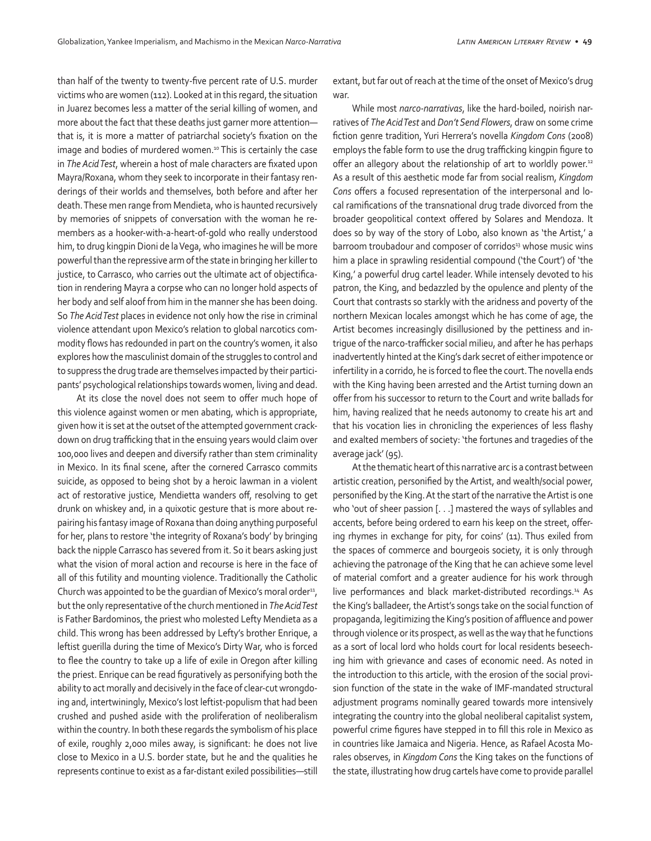than half of the twenty to twenty-five percent rate of U.S. murder victims who are women (112). Looked at in this regard, the situation in Juarez becomes less a matter of the serial killing of women, and more about the fact that these deaths just garner more attention that is, it is more a matter of patriarchal society's fixation on the image and bodies of murdered women.<sup>10</sup> This is certainly the case in *The Acid Test*, wherein a host of male characters are fixated upon Mayra/Roxana, whom they seek to incorporate in their fantasy renderings of their worlds and themselves, both before and after her death. These men range from Mendieta, who is haunted recursively by memories of snippets of conversation with the woman he remembers as a hooker-with-a-heart-of-gold who really understood him, to drug kingpin Dioni de la Vega, who imagines he will be more powerful than the repressive arm of the state in bringing her killer to justice, to Carrasco, who carries out the ultimate act of objectification in rendering Mayra a corpse who can no longer hold aspects of her body and self aloof from him in the manner she has been doing. So *The Acid Test* places in evidence not only how the rise in criminal violence attendant upon Mexico's relation to global narcotics commodity flows has redounded in part on the country's women, it also explores how the masculinist domain of the struggles to control and to suppress the drug trade are themselves impacted by their participants' psychological relationships towards women, living and dead.

At its close the novel does not seem to offer much hope of this violence against women or men abating, which is appropriate, given how it is set at the outset of the attempted government crackdown on drug trafficking that in the ensuing years would claim over 100,000 lives and deepen and diversify rather than stem criminality in Mexico. In its final scene, after the cornered Carrasco commits suicide, as opposed to being shot by a heroic lawman in a violent act of restorative justice, Mendietta wanders off, resolving to get drunk on whiskey and, in a quixotic gesture that is more about repairing his fantasy image of Roxana than doing anything purposeful for her, plans to restore 'the integrity of Roxana's body' by bringing back the nipple Carrasco has severed from it. So it bears asking just what the vision of moral action and recourse is here in the face of all of this futility and mounting violence. Traditionally the Catholic Church was appointed to be the guardian of Mexico's moral order<sup>11</sup>, but the only representative of the church mentioned in *The Acid Test* is Father Bardominos, the priest who molested Lefty Mendieta as a child. This wrong has been addressed by Lefty's brother Enrique, a leftist guerilla during the time of Mexico's Dirty War, who is forced to flee the country to take up a life of exile in Oregon after killing the priest. Enrique can be read figuratively as personifying both the ability to act morally and decisively in the face of clear-cut wrongdoing and, intertwiningly, Mexico's lost leftist-populism that had been crushed and pushed aside with the proliferation of neoliberalism within the country. In both these regards the symbolism of his place of exile, roughly 2,000 miles away, is significant: he does not live close to Mexico in a U.S. border state, but he and the qualities he represents continue to exist as a far-distant exiled possibilities—still extant, but far out of reach at the time of the onset of Mexico's drug war.

While most *narco-narrativas*, like the hard-boiled, noirish narratives of *The Acid Test* and *Don't Send Flowers*, draw on some crime fiction genre tradition, Yuri Herrera's novella *Kingdom Cons* (2008) employs the fable form to use the drug trafficking kingpin figure to offer an allegory about the relationship of art to worldly power.<sup>12</sup> As a result of this aesthetic mode far from social realism, *Kingdom Cons* offers a focused representation of the interpersonal and local ramifications of the transnational drug trade divorced from the broader geopolitical context offered by Solares and Mendoza. It does so by way of the story of Lobo, also known as 'the Artist,' a barroom troubadour and composer of corridos<sup>13</sup> whose music wins him a place in sprawling residential compound ('the Court') of 'the King,' a powerful drug cartel leader. While intensely devoted to his patron, the King, and bedazzled by the opulence and plenty of the Court that contrasts so starkly with the aridness and poverty of the northern Mexican locales amongst which he has come of age, the Artist becomes increasingly disillusioned by the pettiness and intrigue of the narco-trafficker social milieu, and after he has perhaps inadvertently hinted at the King's dark secret of either impotence or infertility in a corrido, he is forced to flee the court. The novella ends with the King having been arrested and the Artist turning down an offer from his successor to return to the Court and write ballads for him, having realized that he needs autonomy to create his art and that his vocation lies in chronicling the experiences of less flashy and exalted members of society: 'the fortunes and tragedies of the average jack' (95).

At the thematic heart of this narrative arc is a contrast between artistic creation, personified by the Artist, and wealth/social power, personified by the King. At the start of the narrative the Artist is one who 'out of sheer passion [. . .] mastered the ways of syllables and accents, before being ordered to earn his keep on the street, offering rhymes in exchange for pity, for coins' (11). Thus exiled from the spaces of commerce and bourgeois society, it is only through achieving the patronage of the King that he can achieve some level of material comfort and a greater audience for his work through live performances and black market-distributed recordings.14 As the King's balladeer, the Artist's songs take on the social function of propaganda, legitimizing the King's position of affluence and power through violence or its prospect, as well as the way that he functions as a sort of local lord who holds court for local residents beseeching him with grievance and cases of economic need. As noted in the introduction to this article, with the erosion of the social provision function of the state in the wake of IMF-mandated structural adjustment programs nominally geared towards more intensively integrating the country into the global neoliberal capitalist system, powerful crime figures have stepped in to fill this role in Mexico as in countries like Jamaica and Nigeria. Hence, as Rafael Acosta Morales observes, in *Kingdom Cons* the King takes on the functions of the state, illustrating how drug cartels have come to provide parallel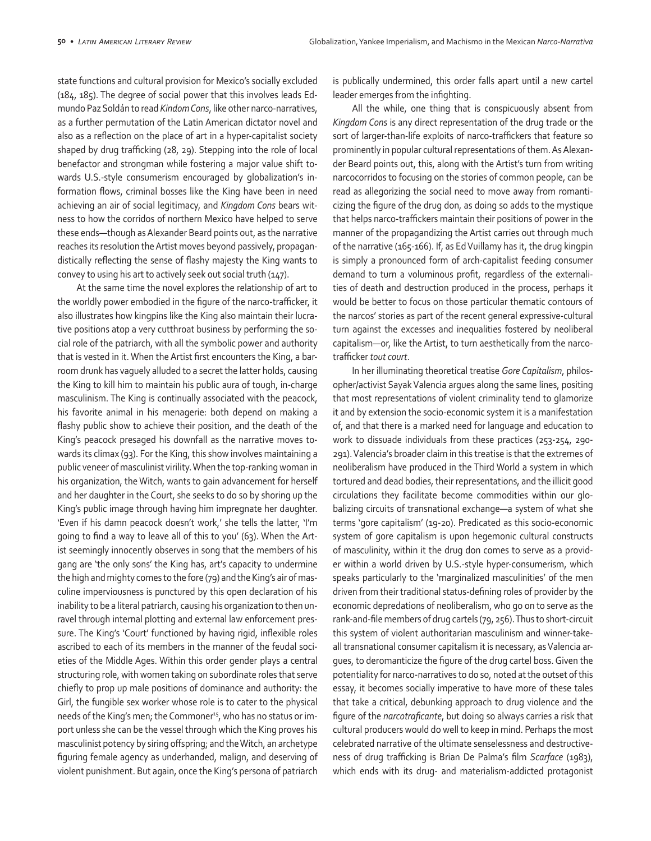state functions and cultural provision for Mexico's socially excluded (184, 185). The degree of social power that this involves leads Edmundo Paz Soldán to read *Kindom Cons*, like other narco-narratives, as a further permutation of the Latin American dictator novel and also as a reflection on the place of art in a hyper-capitalist society shaped by drug trafficking (28, 29). Stepping into the role of local benefactor and strongman while fostering a major value shift towards U.S.-style consumerism encouraged by globalization's information flows, criminal bosses like the King have been in need achieving an air of social legitimacy, and *Kingdom Cons* bears witness to how the corridos of northern Mexico have helped to serve these ends—though as Alexander Beard points out, as the narrative reaches its resolution the Artist moves beyond passively, propagandistically reflecting the sense of flashy majesty the King wants to convey to using his art to actively seek out social truth (147).

At the same time the novel explores the relationship of art to the worldly power embodied in the figure of the narco-trafficker, it also illustrates how kingpins like the King also maintain their lucrative positions atop a very cutthroat business by performing the social role of the patriarch, with all the symbolic power and authority that is vested in it. When the Artist first encounters the King, a barroom drunk has vaguely alluded to a secret the latter holds, causing the King to kill him to maintain his public aura of tough, in-charge masculinism. The King is continually associated with the peacock, his favorite animal in his menagerie: both depend on making a flashy public show to achieve their position, and the death of the King's peacock presaged his downfall as the narrative moves towards its climax (93). For the King, this show involves maintaining a public veneer of masculinist virility. When the top-ranking woman in his organization, the Witch, wants to gain advancement for herself and her daughter in the Court, she seeks to do so by shoring up the King's public image through having him impregnate her daughter. 'Even if his damn peacock doesn't work,' she tells the latter, 'I'm going to find a way to leave all of this to you' (63). When the Artist seemingly innocently observes in song that the members of his gang are 'the only sons' the King has, art's capacity to undermine the high and mighty comes to the fore (79) and the King's air of masculine imperviousness is punctured by this open declaration of his inability to be a literal patriarch, causing his organization to then unravel through internal plotting and external law enforcement pressure. The King's 'Court' functioned by having rigid, inflexible roles ascribed to each of its members in the manner of the feudal societies of the Middle Ages. Within this order gender plays a central structuring role, with women taking on subordinate roles that serve chiefly to prop up male positions of dominance and authority: the Girl, the fungible sex worker whose role is to cater to the physical needs of the King's men; the Commoner<sup>15</sup>, who has no status or import unless she can be the vessel through which the King proves his masculinist potency by siring offspring; and the Witch, an archetype figuring female agency as underhanded, malign, and deserving of violent punishment. But again, once the King's persona of patriarch is publically undermined, this order falls apart until a new cartel leader emerges from the infighting.

All the while, one thing that is conspicuously absent from *Kingdom Cons* is any direct representation of the drug trade or the sort of larger-than-life exploits of narco-traffickers that feature so prominently in popular cultural representations of them. As Alexander Beard points out, this, along with the Artist's turn from writing narcocorridos to focusing on the stories of common people, can be read as allegorizing the social need to move away from romanticizing the figure of the drug don, as doing so adds to the mystique that helps narco-traffickers maintain their positions of power in the manner of the propagandizing the Artist carries out through much of the narrative (165-166). If, as Ed Vuillamy has it, the drug kingpin is simply a pronounced form of arch-capitalist feeding consumer demand to turn a voluminous profit, regardless of the externalities of death and destruction produced in the process, perhaps it would be better to focus on those particular thematic contours of the narcos' stories as part of the recent general expressive-cultural turn against the excesses and inequalities fostered by neoliberal capitalism—or, like the Artist, to turn aesthetically from the narcotrafficker *tout court*.

In her illuminating theoretical treatise *Gore Capitalism*, philosopher/activist Sayak Valencia argues along the same lines, positing that most representations of violent criminality tend to glamorize it and by extension the socio-economic system it is a manifestation of, and that there is a marked need for language and education to work to dissuade individuals from these practices (253-254, 290- 291). Valencia's broader claim in this treatise is that the extremes of neoliberalism have produced in the Third World a system in which tortured and dead bodies, their representations, and the illicit good circulations they facilitate become commodities within our globalizing circuits of transnational exchange—a system of what she terms 'gore capitalism' (19-20). Predicated as this socio-economic system of gore capitalism is upon hegemonic cultural constructs of masculinity, within it the drug don comes to serve as a provider within a world driven by U.S.-style hyper-consumerism, which speaks particularly to the 'marginalized masculinities' of the men driven from their traditional status-defining roles of provider by the economic depredations of neoliberalism, who go on to serve as the rank-and-file members of drug cartels (79, 256). Thus to short-circuit this system of violent authoritarian masculinism and winner-takeall transnational consumer capitalism it is necessary, as Valencia argues, to deromanticize the figure of the drug cartel boss. Given the potentiality for narco-narratives to do so, noted at the outset of this essay, it becomes socially imperative to have more of these tales that take a critical, debunking approach to drug violence and the figure of the *narcotraficante*, but doing so always carries a risk that cultural producers would do well to keep in mind. Perhaps the most celebrated narrative of the ultimate senselessness and destructiveness of drug trafficking is Brian De Palma's film *Scarface* (1983), which ends with its drug- and materialism-addicted protagonist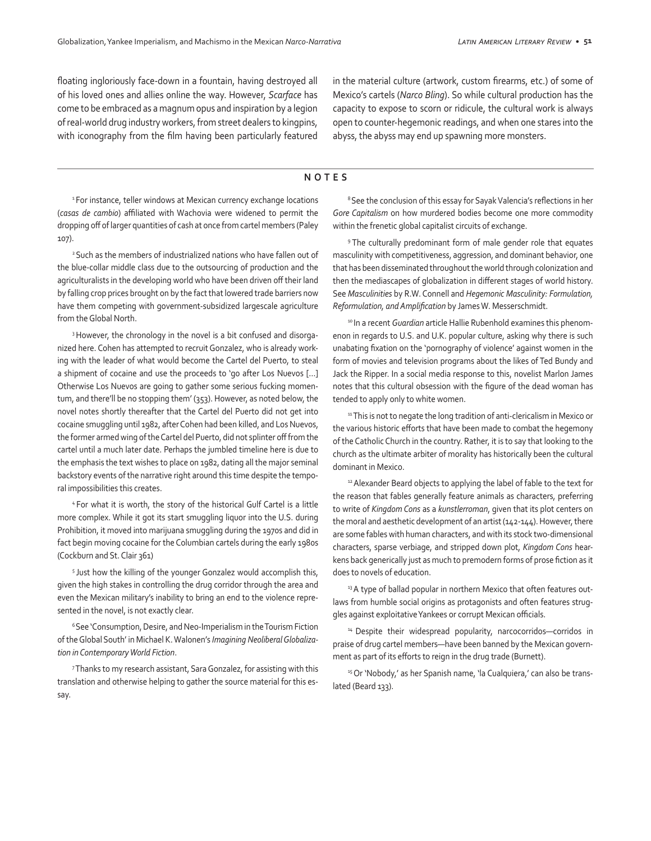floating ingloriously face-down in a fountain, having destroyed all of his loved ones and allies online the way. However, *Scarface* has come to be embraced as a magnum opus and inspiration by a legion of real-world drug industry workers, from street dealers to kingpins, with iconography from the film having been particularly featured in the material culture (artwork, custom firearms, etc.) of some of Mexico's cartels (*Narco Bling*). So while cultural production has the capacity to expose to scorn or ridicule, the cultural work is always open to counter-hegemonic readings, and when one stares into the abyss, the abyss may end up spawning more monsters.

#### **NOTES**

<sup>1</sup> For instance, teller windows at Mexican currency exchange locations (*casas de cambio*) affiliated with Wachovia were widened to permit the dropping off of larger quantities of cash at once from cartel members (Paley 107).

2 Such as the members of industrialized nations who have fallen out of the blue-collar middle class due to the outsourcing of production and the agriculturalists in the developing world who have been driven off their land by falling crop prices brought on by the fact that lowered trade barriers now have them competing with government-subsidized largescale agriculture from the Global North.

<sup>3</sup> However, the chronology in the novel is a bit confused and disorganized here. Cohen has attempted to recruit Gonzalez, who is already working with the leader of what would become the Cartel del Puerto, to steal a shipment of cocaine and use the proceeds to 'go after Los Nuevos […] Otherwise Los Nuevos are going to gather some serious fucking momentum, and there'll be no stopping them' (353). However, as noted below, the novel notes shortly thereafter that the Cartel del Puerto did not get into cocaine smuggling until 1982, after Cohen had been killed, and Los Nuevos, the former armed wing of the Cartel del Puerto, did not splinter off from the cartel until a much later date. Perhaps the jumbled timeline here is due to the emphasis the text wishes to place on 1982, dating all the major seminal backstory events of the narrative right around this time despite the temporal impossibilities this creates.

4 For what it is worth, the story of the historical Gulf Cartel is a little more complex. While it got its start smuggling liquor into the U.S. during Prohibition, it moved into marijuana smuggling during the 1970s and did in fact begin moving cocaine for the Columbian cartels during the early 1980s (Cockburn and St. Clair 361)

<sup>5</sup> Just how the killing of the younger Gonzalez would accomplish this, given the high stakes in controlling the drug corridor through the area and even the Mexican military's inability to bring an end to the violence represented in the novel, is not exactly clear.

<sup>6</sup> See 'Consumption, Desire, and Neo-Imperialism in the Tourism Fiction of the Global South' in Michael K. Walonen's *Imagining Neoliberal Globalization in Contemporary World Fiction*.

7 Thanks to my research assistant, Sara Gonzalez, for assisting with this translation and otherwise helping to gather the source material for this essay.

<sup>8</sup> See the conclusion of this essay for Sayak Valencia's reflections in her *Gore Capitalism* on how murdered bodies become one more commodity within the frenetic global capitalist circuits of exchange.

9 The culturally predominant form of male gender role that equates masculinity with competitiveness, aggression, and dominant behavior, one that has been disseminated throughout the world through colonization and then the mediascapes of globalization in different stages of world history. See *Masculinities* by R.W. Connell and *Hegemonic Masculinity: Formulation, Reformulation, and Amplification* by James W. Messerschmidt.

<sup>10</sup> In a recent *Guardian* article Hallie Rubenhold examines this phenomenon in regards to U.S. and U.K. popular culture, asking why there is such unabating fixation on the 'pornography of violence' against women in the form of movies and television programs about the likes of Ted Bundy and Jack the Ripper. In a social media response to this, novelist Marlon James notes that this cultural obsession with the figure of the dead woman has tended to apply only to white women.

<sup>11</sup> This is not to negate the long tradition of anti-clericalism in Mexico or the various historic efforts that have been made to combat the hegemony of the Catholic Church in the country. Rather, it is to say that looking to the church as the ultimate arbiter of morality has historically been the cultural dominant in Mexico.

<sup>12</sup> Alexander Beard objects to applying the label of fable to the text for the reason that fables generally feature animals as characters, preferring to write of *Kingdom Cons* as a *kunstlerroman*, given that its plot centers on the moral and aesthetic development of an artist (142-144). However, there are some fables with human characters, and with its stock two-dimensional characters, sparse verbiage, and stripped down plot, *Kingdom Cons* hearkens back generically just as much to premodern forms of prose fiction as it does to novels of education.

<sup>13</sup> A type of ballad popular in northern Mexico that often features outlaws from humble social origins as protagonists and often features struggles against exploitative Yankees or corrupt Mexican officials.

<sup>14</sup> Despite their widespread popularity, narcocorridos-corridos in praise of drug cartel members—have been banned by the Mexican government as part of its efforts to reign in the drug trade (Burnett).

<sup>15</sup> Or 'Nobody,' as her Spanish name, 'la Cualquiera,' can also be translated (Beard 133).